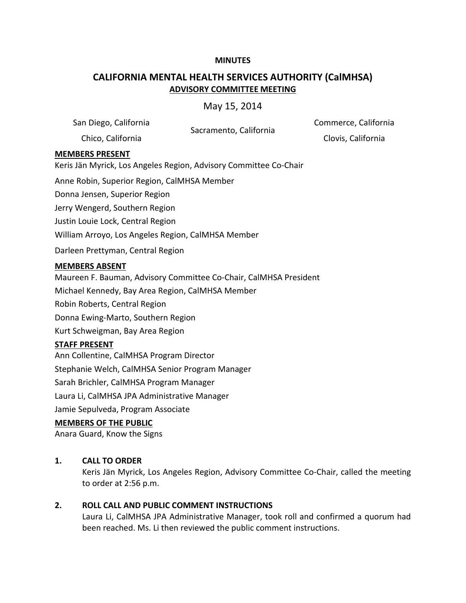#### **MINUTES**

# **CALIFORNIA MENTAL HEALTH SERVICES AUTHORITY (CalMHSA) ADVISORY COMMITTEE MEETING**

May 15, 2014

San Diego, California<br>Sacramento, California Chico, California Clovis, California

Commerce, California

### **MEMBERS PRESENT**

Keris Jän Myrick, Los Angeles Region, Advisory Committee Co-Chair

Anne Robin, Superior Region, CalMHSA Member

Donna Jensen, Superior Region

Jerry Wengerd, Southern Region

Justin Louie Lock, Central Region

William Arroyo, Los Angeles Region, CalMHSA Member

Darleen Prettyman, Central Region

#### **MEMBERS ABSENT**

Maureen F. Bauman, Advisory Committee Co-Chair, CalMHSA President

Michael Kennedy, Bay Area Region, CalMHSA Member

Robin Roberts, Central Region

Donna Ewing-Marto, Southern Region

Kurt Schweigman, Bay Area Region

#### **STAFF PRESENT**

Ann Collentine, CalMHSA Program Director

Stephanie Welch, CalMHSA Senior Program Manager

Sarah Brichler, CalMHSA Program Manager

Laura Li, CalMHSA JPA Administrative Manager

Jamie Sepulveda, Program Associate

#### **MEMBERS OF THE PUBLIC**

Anara Guard, Know the Signs

### **1. CALL TO ORDER**

Keris Jän Myrick, Los Angeles Region, Advisory Committee Co-Chair, called the meeting to order at 2:56 p.m.

### **2. ROLL CALL AND PUBLIC COMMENT INSTRUCTIONS**

Laura Li, CalMHSA JPA Administrative Manager, took roll and confirmed a quorum had been reached. Ms. Li then reviewed the public comment instructions.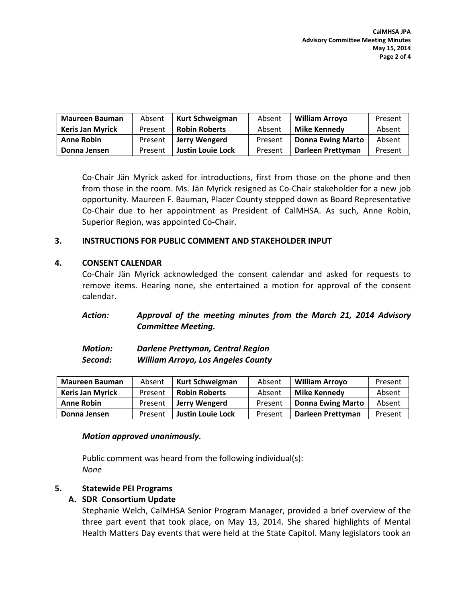| <b>Maureen Bauman</b>   | Absent  | <b>Kurt Schweigman</b>   | Absent  | <b>William Arroyo</b>    | Present |
|-------------------------|---------|--------------------------|---------|--------------------------|---------|
| <b>Keris Jan Myrick</b> | Present | <b>Robin Roberts</b>     | Absent  | <b>Mike Kennedy</b>      | Absent  |
| <b>Anne Robin</b>       | Present | Jerry Wengerd            | Present | <b>Donna Ewing Marto</b> | Absent  |
| Donna Jensen            | Present | <b>Justin Louie Lock</b> | Present | Darleen Prettyman        | Present |

Co-Chair Jän Myrick asked for introductions, first from those on the phone and then from those in the room. Ms. Jän Myrick resigned as Co-Chair stakeholder for a new job opportunity. Maureen F. Bauman, Placer County stepped down as Board Representative Co-Chair due to her appointment as President of CalMHSA. As such, Anne Robin, Superior Region, was appointed Co-Chair.

# **3. INSTRUCTIONS FOR PUBLIC COMMENT AND STAKEHOLDER INPUT**

# **4. CONSENT CALENDAR**

Co-Chair Jän Myrick acknowledged the consent calendar and asked for requests to remove items. Hearing none, she entertained a motion for approval of the consent calendar.

# *Action: Approval of the meeting minutes from the March 21, 2014 Advisory Committee Meeting.*

| <b>Motion:</b> | Darlene Prettyman, Central Region         |
|----------------|-------------------------------------------|
| Second:        | <b>William Arroyo, Los Angeles County</b> |

| <b>Maureen Bauman</b>   | Absent  | Kurt Schweigman          | Absent  | <b>William Arroyo</b>    | Present |
|-------------------------|---------|--------------------------|---------|--------------------------|---------|
| <b>Keris Jan Myrick</b> | Present | <b>Robin Roberts</b>     | Absent  | <b>Mike Kennedy</b>      | Absent  |
| <b>Anne Robin</b>       | Present | Jerry Wengerd            | Present | <b>Donna Ewing Marto</b> | Absent  |
| Donna Jensen            | Present | <b>Justin Louie Lock</b> | Present | Darleen Prettyman        | Present |

### *Motion approved unanimously.*

Public comment was heard from the following individual(s): *None*

### **5. Statewide PEI Programs**

# **A. SDR Consortium Update**

Stephanie Welch, CalMHSA Senior Program Manager, provided a brief overview of the three part event that took place, on May 13, 2014. She shared highlights of Mental Health Matters Day events that were held at the State Capitol. Many legislators took an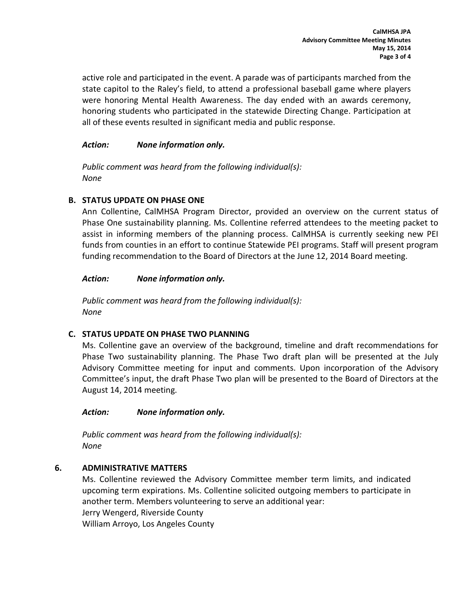active role and participated in the event. A parade was of participants marched from the state capitol to the Raley's field, to attend a professional baseball game where players were honoring Mental Health Awareness. The day ended with an awards ceremony, honoring students who participated in the statewide Directing Change. Participation at all of these events resulted in significant media and public response.

# *Action: None information only.*

*Public comment was heard from the following individual(s): None*

# **B. STATUS UPDATE ON PHASE ONE**

Ann Collentine, CalMHSA Program Director, provided an overview on the current status of Phase One sustainability planning. Ms. Collentine referred attendees to the meeting packet to assist in informing members of the planning process. CalMHSA is currently seeking new PEI funds from counties in an effort to continue Statewide PEI programs. Staff will present program funding recommendation to the Board of Directors at the June 12, 2014 Board meeting.

# *Action: None information only.*

*Public comment was heard from the following individual(s): None*

# **C. STATUS UPDATE ON PHASE TWO PLANNING**

Ms. Collentine gave an overview of the background, timeline and draft recommendations for Phase Two sustainability planning. The Phase Two draft plan will be presented at the July Advisory Committee meeting for input and comments. Upon incorporation of the Advisory Committee's input, the draft Phase Two plan will be presented to the Board of Directors at the August 14, 2014 meeting.

### *Action: None information only.*

*Public comment was heard from the following individual(s): None*

### **6. ADMINISTRATIVE MATTERS**

Ms. Collentine reviewed the Advisory Committee member term limits, and indicated upcoming term expirations. Ms. Collentine solicited outgoing members to participate in another term. Members volunteering to serve an additional year: Jerry Wengerd, Riverside County

William Arroyo, Los Angeles County